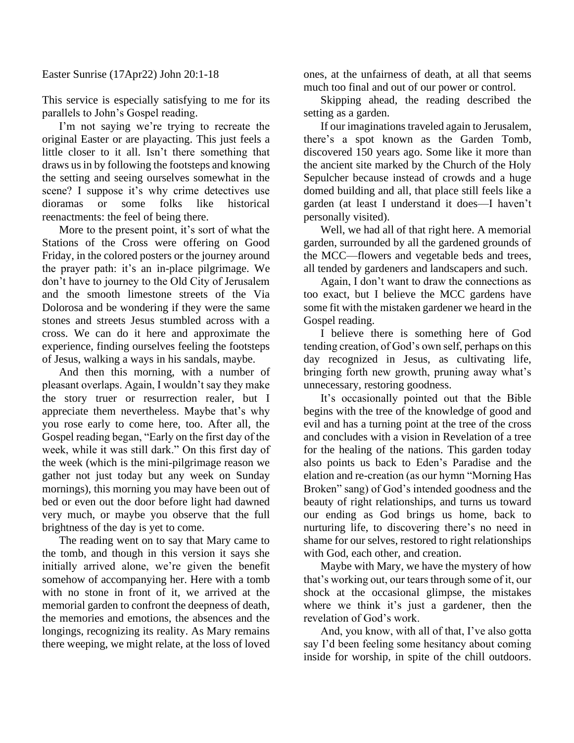Easter Sunrise (17Apr22) John 20:1-18

This service is especially satisfying to me for its parallels to John's Gospel reading.

I'm not saying we're trying to recreate the original Easter or are playacting. This just feels a little closer to it all. Isn't there something that draws us in by following the footsteps and knowing the setting and seeing ourselves somewhat in the scene? I suppose it's why crime detectives use dioramas or some folks like historical reenactments: the feel of being there.

More to the present point, it's sort of what the Stations of the Cross were offering on Good Friday, in the colored posters or the journey around the prayer path: it's an in-place pilgrimage. We don't have to journey to the Old City of Jerusalem and the smooth limestone streets of the Via Dolorosa and be wondering if they were the same stones and streets Jesus stumbled across with a cross. We can do it here and approximate the experience, finding ourselves feeling the footsteps of Jesus, walking a ways in his sandals, maybe.

And then this morning, with a number of pleasant overlaps. Again, I wouldn't say they make the story truer or resurrection realer, but I appreciate them nevertheless. Maybe that's why you rose early to come here, too. After all, the Gospel reading began, "Early on the first day of the week, while it was still dark." On this first day of the week (which is the mini-pilgrimage reason we gather not just today but any week on Sunday mornings), this morning you may have been out of bed or even out the door before light had dawned very much, or maybe you observe that the full brightness of the day is yet to come.

The reading went on to say that Mary came to the tomb, and though in this version it says she initially arrived alone, we're given the benefit somehow of accompanying her. Here with a tomb with no stone in front of it, we arrived at the memorial garden to confront the deepness of death, the memories and emotions, the absences and the longings, recognizing its reality. As Mary remains there weeping, we might relate, at the loss of loved ones, at the unfairness of death, at all that seems much too final and out of our power or control.

Skipping ahead, the reading described the setting as a garden.

If our imaginations traveled again to Jerusalem, there's a spot known as the Garden Tomb, discovered 150 years ago. Some like it more than the ancient site marked by the Church of the Holy Sepulcher because instead of crowds and a huge domed building and all, that place still feels like a garden (at least I understand it does—I haven't personally visited).

Well, we had all of that right here. A memorial garden, surrounded by all the gardened grounds of the MCC—flowers and vegetable beds and trees, all tended by gardeners and landscapers and such.

Again, I don't want to draw the connections as too exact, but I believe the MCC gardens have some fit with the mistaken gardener we heard in the Gospel reading.

I believe there is something here of God tending creation, of God's own self, perhaps on this day recognized in Jesus, as cultivating life, bringing forth new growth, pruning away what's unnecessary, restoring goodness.

It's occasionally pointed out that the Bible begins with the tree of the knowledge of good and evil and has a turning point at the tree of the cross and concludes with a vision in Revelation of a tree for the healing of the nations. This garden today also points us back to Eden's Paradise and the elation and re-creation (as our hymn "Morning Has Broken" sang) of God's intended goodness and the beauty of right relationships, and turns us toward our ending as God brings us home, back to nurturing life, to discovering there's no need in shame for our selves, restored to right relationships with God, each other, and creation.

Maybe with Mary, we have the mystery of how that's working out, our tears through some of it, our shock at the occasional glimpse, the mistakes where we think it's just a gardener, then the revelation of God's work.

And, you know, with all of that, I've also gotta say I'd been feeling some hesitancy about coming inside for worship, in spite of the chill outdoors.